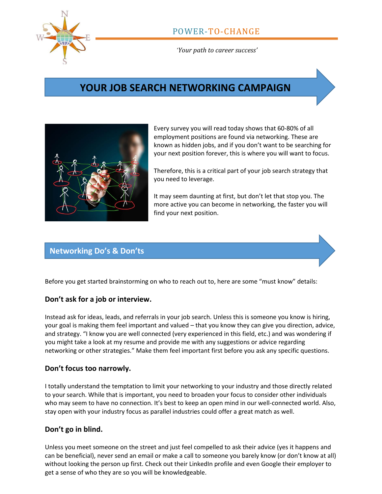

*'Your path to career success'*

# **YOUR JOB SEARCH NETWORKING CAMPAIGN**



Every survey you will read today shows that 60-80% of all employment positions are found via networking. These are known as hidden jobs, and if you don't want to be searching for your next position forever, this is where you will want to focus.

Therefore, this is a critical part of your job search strategy that you need to leverage.

It may seem daunting at first, but don't let that stop you. The more active you can become in networking, the faster you will find your next position.

### **Networking Do's & Don'ts**

Before you get started brainstorming on who to reach out to, here are some "must know" details:

### **Don't ask for a job or interview.**

Instead ask for ideas, leads, and referrals in your job search. Unless this is someone you know is hiring, your goal is making them feel important and valued – that you know they can give you direction, advice, and strategy. "I know you are well connected (very experienced in this field, etc.) and was wondering if you might take a look at my resume and provide me with any suggestions or advice regarding networking or other strategies." Make them feel important first before you ask any specific questions.

#### **Don't focus too narrowly.**

I totally understand the temptation to limit your networking to your industry and those directly related to your search. While that is important, you need to broaden your focus to consider other individuals who may seem to have no connection. It's best to keep an open mind in our well-connected world. Also, stay open with your industry focus as parallel industries could offer a great match as well.

### **Don't go in blind.**

Unless you meet someone on the street and just feel compelled to ask their advice (yes it happens and can be beneficial), never send an email or make a call to someone you barely know (or don't know at all) without looking the person up first. Check out their LinkedIn profile and even Google their employer to get a sense of who they are so you will be knowledgeable.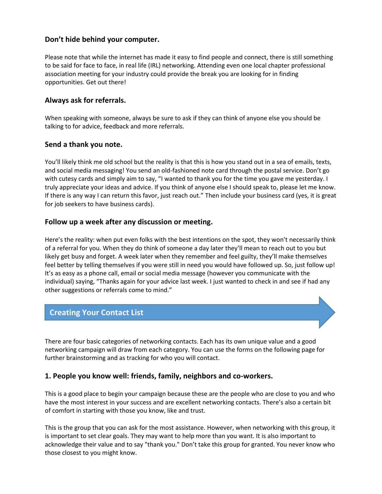### **Don't hide behind your computer.**

Please note that while the internet has made it easy to find people and connect, there is still something to be said for face to face, in real life (IRL) networking. Attending even one local chapter professional association meeting for your industry could provide the break you are looking for in finding opportunities. Get out there!

### **Always ask for referrals.**

When speaking with someone, always be sure to ask if they can think of anyone else you should be talking to for advice, feedback and more referrals.

### **Send a thank you note.**

You'll likely think me old school but the reality is that this is how you stand out in a sea of emails, texts, and social media messaging! You send an old-fashioned note card through the postal service. Don't go with cutesy cards and simply aim to say, "I wanted to thank you for the time you gave me yesterday. I truly appreciate your ideas and advice. If you think of anyone else I should speak to, please let me know. If there is any way I can return this favor, just reach out." Then include your business card (yes, it is great for job seekers to have business cards).

#### **Follow up a week after any discussion or meeting.**

Here's the reality: when put even folks with the best intentions on the spot, they won't necessarily think of a referral for you. When they do think of someone a day later they'll mean to reach out to you but likely get busy and forget. A week later when they remember and feel guilty, they'll make themselves feel better by telling themselves if you were still in need you would have followed up. So, just follow up! It's as easy as a phone call, email or social media message (however you communicate with the individual) saying, "Thanks again for your advice last week. I just wanted to check in and see if had any other suggestions or referrals come to mind."

## **Creating Your Contact List**

There are four basic categories of networking contacts. Each has its own unique value and a good networking campaign will draw from each category. You can use the forms on the following page for further brainstorming and as tracking for who you will contact.

### **1. People you know well: friends, family, neighbors and co-workers.**

This is a good place to begin your campaign because these are the people who are close to you and who have the most interest in your success and are excellent networking contacts. There's also a certain bit of comfort in starting with those you know, like and trust.

This is the group that you can ask for the most assistance. However, when networking with this group, it is important to set clear goals. They may want to help more than you want. It is also important to acknowledge their value and to say "thank you." Don't take this group for granted. You never know who those closest to you might know.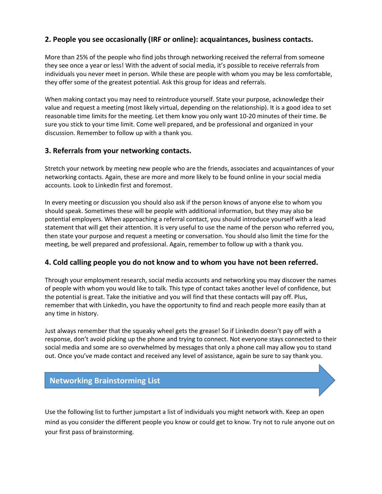### **2. People you see occasionally (IRF or online): acquaintances, business contacts.**

More than 25% of the people who find jobs through networking received the referral from someone they see once a year or less! With the advent of social media, it's possible to receive referrals from individuals you never meet in person. While these are people with whom you may be less comfortable, they offer some of the greatest potential. Ask this group for ideas and referrals.

When making contact you may need to reintroduce yourself. State your purpose, acknowledge their value and request a meeting (most likely virtual, depending on the relationship). It is a good idea to set reasonable time limits for the meeting. Let them know you only want 10-20 minutes of their time. Be sure you stick to your time limit. Come well prepared, and be professional and organized in your discussion. Remember to follow up with a thank you.

### **3. Referrals from your networking contacts.**

Stretch your network by meeting new people who are the friends, associates and acquaintances of your networking contacts. Again, these are more and more likely to be found online in your social media accounts. Look to LinkedIn first and foremost.

In every meeting or discussion you should also ask if the person knows of anyone else to whom you should speak. Sometimes these will be people with additional information, but they may also be potential employers. When approaching a referral contact, you should introduce yourself with a lead statement that will get their attention. It is very useful to use the name of the person who referred you, then state your purpose and request a meeting or conversation. You should also limit the time for the meeting, be well prepared and professional. Again, remember to follow up with a thank you.

### **4. Cold calling people you do not know and to whom you have not been referred.**

Through your employment research, social media accounts and networking you may discover the names of people with whom you would like to talk. This type of contact takes another level of confidence, but the potential is great. Take the initiative and you will find that these contacts will pay off. Plus, remember that with LinkedIn, you have the opportunity to find and reach people more easily than at any time in history.

Just always remember that the squeaky wheel gets the grease! So if LinkedIn doesn't pay off with a response, don't avoid picking up the phone and trying to connect. Not everyone stays connected to their social media and some are so overwhelmed by messages that only a phone call may allow you to stand out. Once you've made contact and received any level of assistance, again be sure to say thank you.

### **Networking Brainstorming List**

Use the following list to further jumpstart a list of individuals you might network with. Keep an open mind as you consider the different people you know or could get to know. Try not to rule anyone out on your first pass of brainstorming.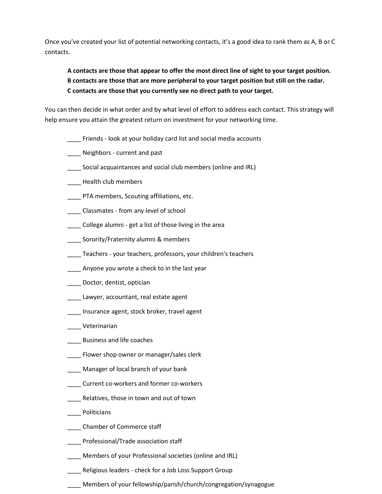Once you've created your list of potential networking contacts, it's a good idea to rank them as A, B or C contacts.

### **A contacts are those that appear to offer the most direct line of sight to your target position. B contacts are those that are more peripheral to your target position but still on the radar. C contacts are those that you currently see no direct path to your target.**

You can then decide in what order and by what level of effort to address each contact. This strategy will help ensure you attain the greatest return on investment for your networking time.

- \_\_\_\_ Friends look at your holiday card list and social media accounts
- \_\_\_\_ Neighbors current and past
- Social acquaintances and social club members (online and IRL)
- \_\_\_\_ Health club members
- \_\_\_\_ PTA members, Scouting affiliations, etc.
- \_\_\_\_ Classmates from any level of school
- \_\_\_\_ College alumni get a list of those living in the area
- \_\_\_\_ Sorority/Fraternity alumni & members
- Teachers your teachers, professors, your children's teachers
- \_\_\_\_ Anyone you wrote a check to in the last year
- \_\_\_\_ Doctor, dentist, optician
- \_\_\_\_ Lawyer, accountant, real estate agent
- \_\_\_\_ Insurance agent, stock broker, travel agent
- \_\_\_\_ Veterinarian
- \_\_\_\_ Business and life coaches
- \_\_\_\_ Flower shop owner or manager/sales clerk
- \_\_\_\_ Manager of local branch of your bank
- \_\_\_\_ Current co-workers and former co-workers
- \_\_\_\_ Relatives, those in town and out of town
- \_\_\_\_ Politicians
- \_\_\_\_ Chamber of Commerce staff
- \_\_\_\_ Professional/Trade association staff
- \_\_\_\_ Members of your Professional societies (online and IRL)
- Religious leaders check for a Job Loss Support Group
- \_\_\_\_ Members of your fellowship/parish/church/congregation/synagogue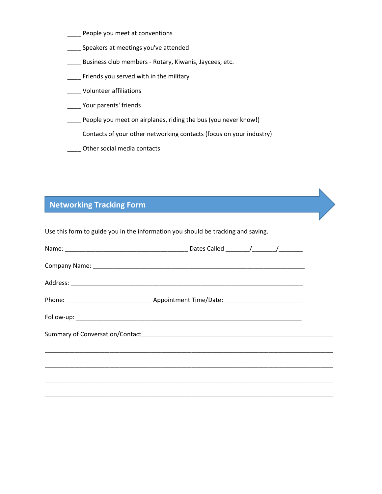- \_\_\_\_ People you meet at conventions
- \_\_\_\_ Speakers at meetings you've attended
- \_\_\_\_ Business club members Rotary, Kiwanis, Jaycees, etc.
- \_\_\_\_ Friends you served with in the military
- \_\_\_\_ Volunteer affiliations
- \_\_\_\_ Your parents' friends
- \_\_\_\_ People you meet on airplanes, riding the bus (you never know!)
- \_\_\_\_ Contacts of your other networking contacts (focus on your industry)
- \_\_\_\_ Other social media contacts

# **Networking Tracking Form**

Use this form to guide you in the information you should be tracking and saving.